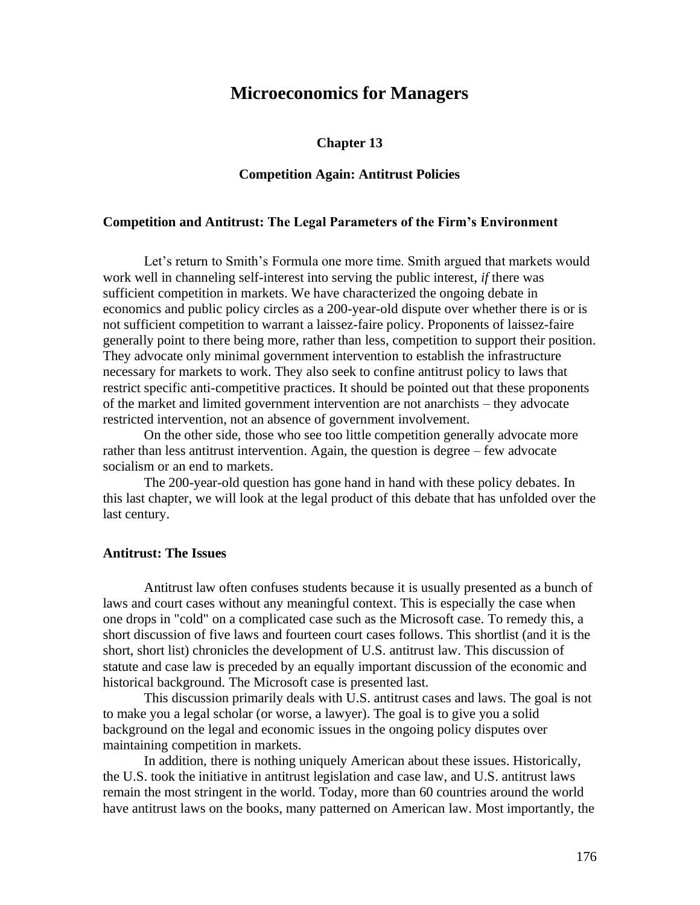# **Microeconomics for Managers**

#### **Chapter 13**

# **Competition Again: Antitrust Policies**

### **Competition and Antitrust: The Legal Parameters of the Firm's Environment**

Let's return to Smith's Formula one more time. Smith argued that markets would work well in channeling self-interest into serving the public interest, *if* there was sufficient competition in markets. We have characterized the ongoing debate in economics and public policy circles as a 200-year-old dispute over whether there is or is not sufficient competition to warrant a laissez-faire policy. Proponents of laissez-faire generally point to there being more, rather than less, competition to support their position. They advocate only minimal government intervention to establish the infrastructure necessary for markets to work. They also seek to confine antitrust policy to laws that restrict specific anti-competitive practices. It should be pointed out that these proponents of the market and limited government intervention are not anarchists – they advocate restricted intervention, not an absence of government involvement.

On the other side, those who see too little competition generally advocate more rather than less antitrust intervention. Again, the question is degree – few advocate socialism or an end to markets.

The 200-year-old question has gone hand in hand with these policy debates. In this last chapter, we will look at the legal product of this debate that has unfolded over the last century.

# **Antitrust: The Issues**

Antitrust law often confuses students because it is usually presented as a bunch of laws and court cases without any meaningful context. This is especially the case when one drops in "cold" on a complicated case such as the Microsoft case. To remedy this, a short discussion of five laws and fourteen court cases follows. This shortlist (and it is the short, short list) chronicles the development of U.S. antitrust law. This discussion of statute and case law is preceded by an equally important discussion of the economic and historical background. The Microsoft case is presented last.

This discussion primarily deals with U.S. antitrust cases and laws. The goal is not to make you a legal scholar (or worse, a lawyer). The goal is to give you a solid background on the legal and economic issues in the ongoing policy disputes over maintaining competition in markets.

In addition, there is nothing uniquely American about these issues. Historically, the U.S. took the initiative in antitrust legislation and case law, and U.S. antitrust laws remain the most stringent in the world. Today, more than 60 countries around the world have antitrust laws on the books, many patterned on American law. Most importantly, the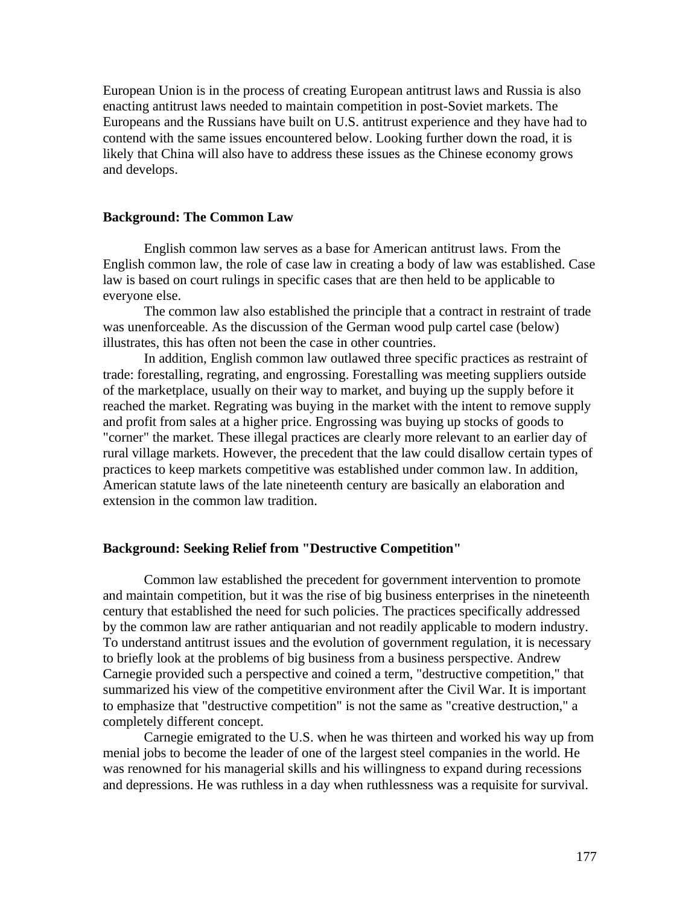European Union is in the process of creating European antitrust laws and Russia is also enacting antitrust laws needed to maintain competition in post-Soviet markets. The Europeans and the Russians have built on U.S. antitrust experience and they have had to contend with the same issues encountered below. Looking further down the road, it is likely that China will also have to address these issues as the Chinese economy grows and develops.

# **Background: The Common Law**

English common law serves as a base for American antitrust laws. From the English common law, the role of case law in creating a body of law was established. Case law is based on court rulings in specific cases that are then held to be applicable to everyone else.

The common law also established the principle that a contract in restraint of trade was unenforceable. As the discussion of the German wood pulp cartel case (below) illustrates, this has often not been the case in other countries.

In addition, English common law outlawed three specific practices as restraint of trade: forestalling, regrating, and engrossing. Forestalling was meeting suppliers outside of the marketplace, usually on their way to market, and buying up the supply before it reached the market. Regrating was buying in the market with the intent to remove supply and profit from sales at a higher price. Engrossing was buying up stocks of goods to "corner" the market. These illegal practices are clearly more relevant to an earlier day of rural village markets. However, the precedent that the law could disallow certain types of practices to keep markets competitive was established under common law. In addition, American statute laws of the late nineteenth century are basically an elaboration and extension in the common law tradition.

#### **Background: Seeking Relief from "Destructive Competition"**

Common law established the precedent for government intervention to promote and maintain competition, but it was the rise of big business enterprises in the nineteenth century that established the need for such policies. The practices specifically addressed by the common law are rather antiquarian and not readily applicable to modern industry. To understand antitrust issues and the evolution of government regulation, it is necessary to briefly look at the problems of big business from a business perspective. Andrew Carnegie provided such a perspective and coined a term, "destructive competition," that summarized his view of the competitive environment after the Civil War. It is important to emphasize that "destructive competition" is not the same as "creative destruction," a completely different concept.

Carnegie emigrated to the U.S. when he was thirteen and worked his way up from menial jobs to become the leader of one of the largest steel companies in the world. He was renowned for his managerial skills and his willingness to expand during recessions and depressions. He was ruthless in a day when ruthlessness was a requisite for survival.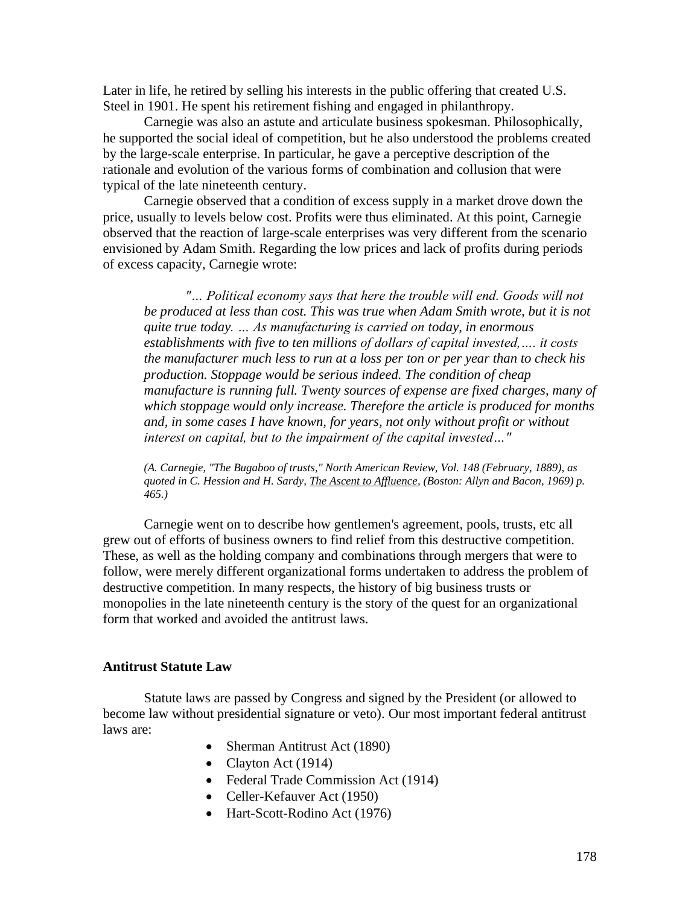Later in life, he retired by selling his interests in the public offering that created U.S. Steel in 1901. He spent his retirement fishing and engaged in philanthropy.

Carnegie was also an astute and articulate business spokesman. Philosophically, he supported the social ideal of competition, but he also understood the problems created by the large-scale enterprise. In particular, he gave a perceptive description of the rationale and evolution of the various forms of combination and collusion that were typical of the late nineteenth century.

Carnegie observed that a condition of excess supply in a market drove down the price, usually to levels below cost. Profits were thus eliminated. At this point, Carnegie observed that the reaction of large-scale enterprises was very different from the scenario envisioned by Adam Smith. Regarding the low prices and lack of profits during periods of excess capacity, Carnegie wrote:

*"… Political economy says that here the trouble will end. Goods will not be produced at less than cost. This was true when Adam Smith wrote, but it is not quite true today. … As manufacturing is carried on today, in enormous establishments with five to ten millions of dollars of capital invested,…. it costs the manufacturer much less to run at a loss per ton or per year than to check his production. Stoppage would be serious indeed. The condition of cheap manufacture is running full. Twenty sources of expense are fixed charges, many of which stoppage would only increase. Therefore the article is produced for months and, in some cases I have known, for years, not only without profit or without interest on capital, but to the impairment of the capital invested…"* 

*(A. Carnegie, "The Bugaboo of trusts," North American Review, Vol. 148 (February, 1889), as quoted in C. Hession and H. Sardy, The Ascent to Affluence, (Boston: Allyn and Bacon, 1969) p. 465.)* 

Carnegie went on to describe how gentlemen's agreement, pools, trusts, etc all grew out of efforts of business owners to find relief from this destructive competition. These, as well as the holding company and combinations through mergers that were to follow, were merely different organizational forms undertaken to address the problem of destructive competition. In many respects, the history of big business trusts or monopolies in the late nineteenth century is the story of the quest for an organizational form that worked and avoided the antitrust laws.

### **Antitrust Statute Law**

Statute laws are passed by Congress and signed by the President (or allowed to become law without presidential signature or veto). Our most important federal antitrust laws are:

- Sherman Antitrust Act (1890)
- Clayton Act (1914)
- Federal Trade Commission Act (1914)
- Celler-Kefauver Act (1950)
- Hart-Scott-Rodino Act (1976)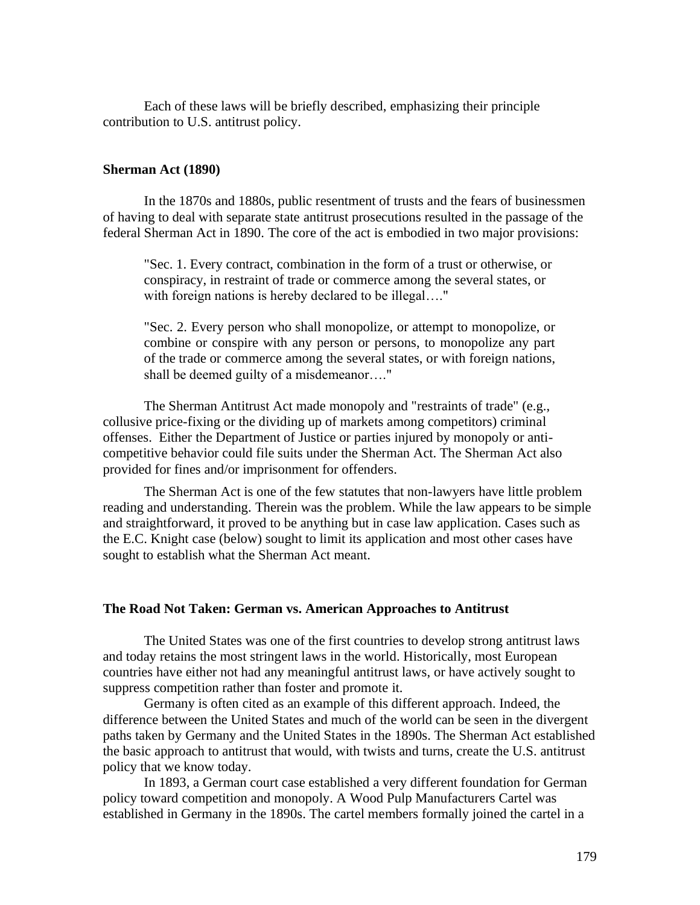Each of these laws will be briefly described, emphasizing their principle contribution to U.S. antitrust policy.

# **Sherman Act (1890)**

In the 1870s and 1880s, public resentment of trusts and the fears of businessmen of having to deal with separate state antitrust prosecutions resulted in the passage of the federal Sherman Act in 1890. The core of the act is embodied in two major provisions:

"Sec. 1. Every contract, combination in the form of a trust or otherwise, or conspiracy, in restraint of trade or commerce among the several states, or with foreign nations is hereby declared to be illegal...."

"Sec. 2. Every person who shall monopolize, or attempt to monopolize, or combine or conspire with any person or persons, to monopolize any part of the trade or commerce among the several states, or with foreign nations, shall be deemed guilty of a misdemeanor…."

The Sherman Antitrust Act made monopoly and "restraints of trade" (e.g., collusive price-fixing or the dividing up of markets among competitors) criminal offenses. Either the Department of Justice or parties injured by monopoly or anticompetitive behavior could file suits under the Sherman Act. The Sherman Act also provided for fines and/or imprisonment for offenders.

The Sherman Act is one of the few statutes that non-lawyers have little problem reading and understanding. Therein was the problem. While the law appears to be simple and straightforward, it proved to be anything but in case law application. Cases such as the E.C. Knight case (below) sought to limit its application and most other cases have sought to establish what the Sherman Act meant.

#### **The Road Not Taken: German vs. American Approaches to Antitrust**

The United States was one of the first countries to develop strong antitrust laws and today retains the most stringent laws in the world. Historically, most European countries have either not had any meaningful antitrust laws, or have actively sought to suppress competition rather than foster and promote it.

Germany is often cited as an example of this different approach. Indeed, the difference between the United States and much of the world can be seen in the divergent paths taken by Germany and the United States in the 1890s. The Sherman Act established the basic approach to antitrust that would, with twists and turns, create the U.S. antitrust policy that we know today.

In 1893, a German court case established a very different foundation for German policy toward competition and monopoly. A Wood Pulp Manufacturers Cartel was established in Germany in the 1890s. The cartel members formally joined the cartel in a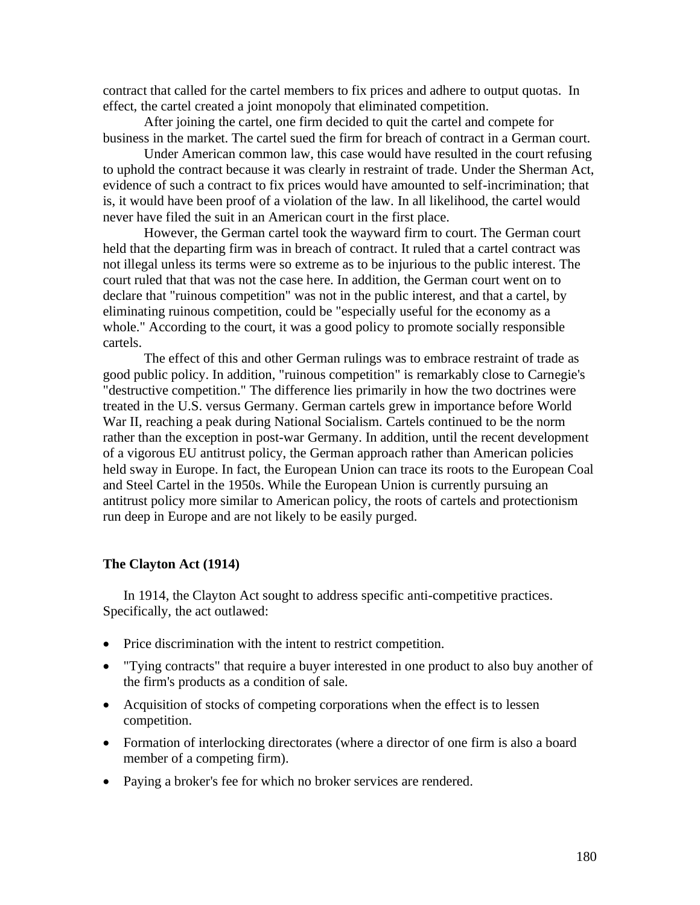contract that called for the cartel members to fix prices and adhere to output quotas. In effect, the cartel created a joint monopoly that eliminated competition.

After joining the cartel, one firm decided to quit the cartel and compete for business in the market. The cartel sued the firm for breach of contract in a German court.

Under American common law, this case would have resulted in the court refusing to uphold the contract because it was clearly in restraint of trade. Under the Sherman Act, evidence of such a contract to fix prices would have amounted to self-incrimination; that is, it would have been proof of a violation of the law. In all likelihood, the cartel would never have filed the suit in an American court in the first place.

However, the German cartel took the wayward firm to court. The German court held that the departing firm was in breach of contract. It ruled that a cartel contract was not illegal unless its terms were so extreme as to be injurious to the public interest. The court ruled that that was not the case here. In addition, the German court went on to declare that "ruinous competition" was not in the public interest, and that a cartel, by eliminating ruinous competition, could be "especially useful for the economy as a whole." According to the court, it was a good policy to promote socially responsible cartels.

The effect of this and other German rulings was to embrace restraint of trade as good public policy. In addition, "ruinous competition" is remarkably close to Carnegie's "destructive competition." The difference lies primarily in how the two doctrines were treated in the U.S. versus Germany. German cartels grew in importance before World War II, reaching a peak during National Socialism. Cartels continued to be the norm rather than the exception in post-war Germany. In addition, until the recent development of a vigorous EU antitrust policy, the German approach rather than American policies held sway in Europe. In fact, the European Union can trace its roots to the European Coal and Steel Cartel in the 1950s. While the European Union is currently pursuing an antitrust policy more similar to American policy, the roots of cartels and protectionism run deep in Europe and are not likely to be easily purged.

#### **The Clayton Act (1914)**

In 1914, the Clayton Act sought to address specific anti-competitive practices. Specifically, the act outlawed:

- Price discrimination with the intent to restrict competition.
- "Tying contracts" that require a buyer interested in one product to also buy another of the firm's products as a condition of sale.
- Acquisition of stocks of competing corporations when the effect is to lessen competition.
- Formation of interlocking directorates (where a director of one firm is also a board member of a competing firm).
- Paying a broker's fee for which no broker services are rendered.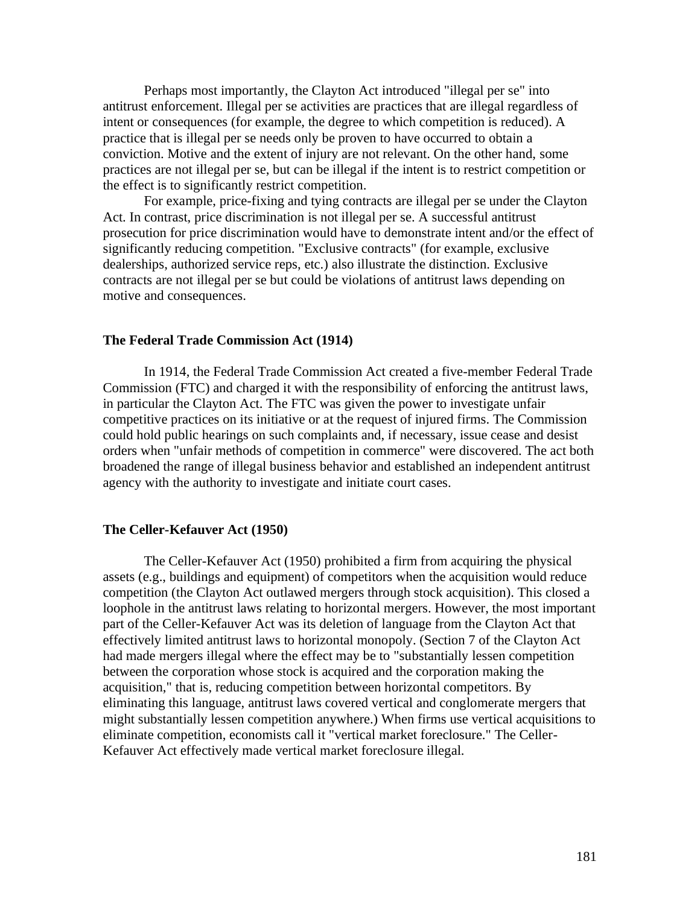Perhaps most importantly, the Clayton Act introduced "illegal per se" into antitrust enforcement. Illegal per se activities are practices that are illegal regardless of intent or consequences (for example, the degree to which competition is reduced). A practice that is illegal per se needs only be proven to have occurred to obtain a conviction. Motive and the extent of injury are not relevant. On the other hand, some practices are not illegal per se, but can be illegal if the intent is to restrict competition or the effect is to significantly restrict competition.

For example, price-fixing and tying contracts are illegal per se under the Clayton Act. In contrast, price discrimination is not illegal per se. A successful antitrust prosecution for price discrimination would have to demonstrate intent and/or the effect of significantly reducing competition. "Exclusive contracts" (for example, exclusive dealerships, authorized service reps, etc.) also illustrate the distinction. Exclusive contracts are not illegal per se but could be violations of antitrust laws depending on motive and consequences.

#### **The Federal Trade Commission Act (1914)**

In 1914, the Federal Trade Commission Act created a five-member Federal Trade Commission (FTC) and charged it with the responsibility of enforcing the antitrust laws, in particular the Clayton Act. The FTC was given the power to investigate unfair competitive practices on its initiative or at the request of injured firms. The Commission could hold public hearings on such complaints and, if necessary, issue cease and desist orders when "unfair methods of competition in commerce" were discovered. The act both broadened the range of illegal business behavior and established an independent antitrust agency with the authority to investigate and initiate court cases.

#### **The Celler-Kefauver Act (1950)**

The Celler-Kefauver Act (1950) prohibited a firm from acquiring the physical assets (e.g., buildings and equipment) of competitors when the acquisition would reduce competition (the Clayton Act outlawed mergers through stock acquisition). This closed a loophole in the antitrust laws relating to horizontal mergers. However, the most important part of the Celler-Kefauver Act was its deletion of language from the Clayton Act that effectively limited antitrust laws to horizontal monopoly. (Section 7 of the Clayton Act had made mergers illegal where the effect may be to "substantially lessen competition between the corporation whose stock is acquired and the corporation making the acquisition," that is, reducing competition between horizontal competitors. By eliminating this language, antitrust laws covered vertical and conglomerate mergers that might substantially lessen competition anywhere.) When firms use vertical acquisitions to eliminate competition, economists call it "vertical market foreclosure." The Celler-Kefauver Act effectively made vertical market foreclosure illegal.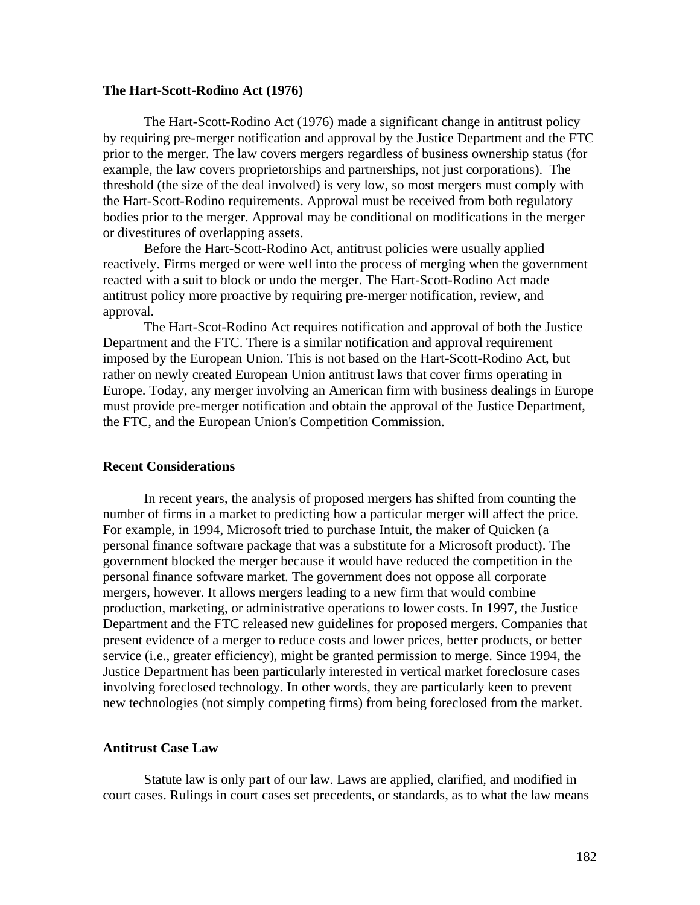#### **The Hart-Scott-Rodino Act (1976)**

The Hart-Scott-Rodino Act (1976) made a significant change in antitrust policy by requiring pre-merger notification and approval by the Justice Department and the FTC prior to the merger. The law covers mergers regardless of business ownership status (for example, the law covers proprietorships and partnerships, not just corporations). The threshold (the size of the deal involved) is very low, so most mergers must comply with the Hart-Scott-Rodino requirements. Approval must be received from both regulatory bodies prior to the merger. Approval may be conditional on modifications in the merger or divestitures of overlapping assets.

Before the Hart-Scott-Rodino Act, antitrust policies were usually applied reactively. Firms merged or were well into the process of merging when the government reacted with a suit to block or undo the merger. The Hart-Scott-Rodino Act made antitrust policy more proactive by requiring pre-merger notification, review, and approval.

The Hart-Scot-Rodino Act requires notification and approval of both the Justice Department and the FTC. There is a similar notification and approval requirement imposed by the European Union. This is not based on the Hart-Scott-Rodino Act, but rather on newly created European Union antitrust laws that cover firms operating in Europe. Today, any merger involving an American firm with business dealings in Europe must provide pre-merger notification and obtain the approval of the Justice Department, the FTC, and the European Union's Competition Commission.

# **Recent Considerations**

In recent years, the analysis of proposed mergers has shifted from counting the number of firms in a market to predicting how a particular merger will affect the price. For example, in 1994, Microsoft tried to purchase Intuit, the maker of Quicken (a personal finance software package that was a substitute for a Microsoft product). The government blocked the merger because it would have reduced the competition in the personal finance software market. The government does not oppose all corporate mergers, however. It allows mergers leading to a new firm that would combine production, marketing, or administrative operations to lower costs. In 1997, the Justice Department and the FTC released new guidelines for proposed mergers. Companies that present evidence of a merger to reduce costs and lower prices, better products, or better service (i.e., greater efficiency), might be granted permission to merge. Since 1994, the Justice Department has been particularly interested in vertical market foreclosure cases involving foreclosed technology. In other words, they are particularly keen to prevent new technologies (not simply competing firms) from being foreclosed from the market.

#### **Antitrust Case Law**

Statute law is only part of our law. Laws are applied, clarified, and modified in court cases. Rulings in court cases set precedents, or standards, as to what the law means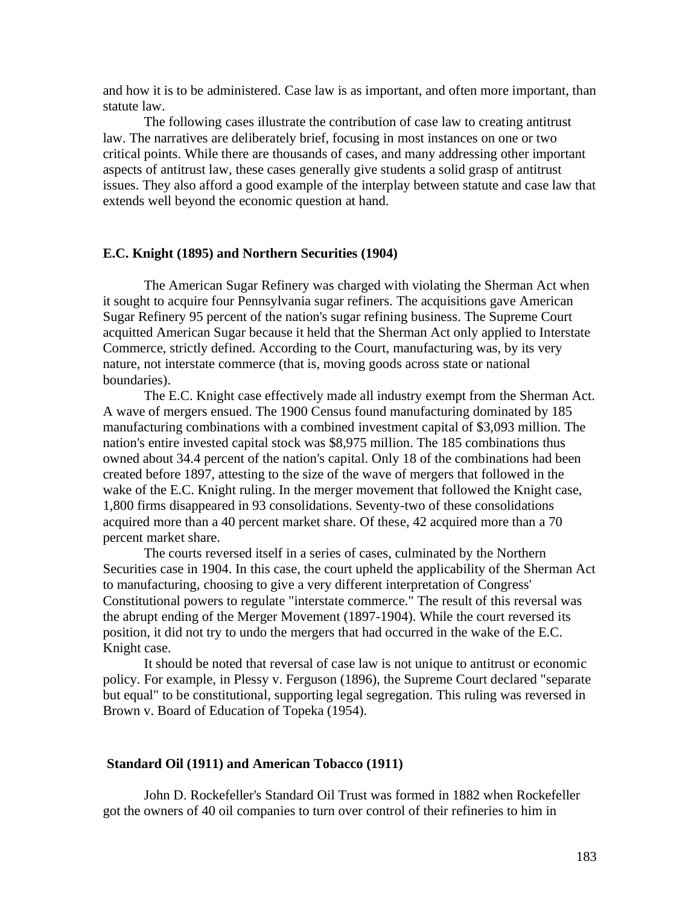and how it is to be administered. Case law is as important, and often more important, than statute law.

The following cases illustrate the contribution of case law to creating antitrust law. The narratives are deliberately brief, focusing in most instances on one or two critical points. While there are thousands of cases, and many addressing other important aspects of antitrust law, these cases generally give students a solid grasp of antitrust issues. They also afford a good example of the interplay between statute and case law that extends well beyond the economic question at hand.

#### **E.C. Knight (1895) and Northern Securities (1904)**

The American Sugar Refinery was charged with violating the Sherman Act when it sought to acquire four Pennsylvania sugar refiners. The acquisitions gave American Sugar Refinery 95 percent of the nation's sugar refining business. The Supreme Court acquitted American Sugar because it held that the Sherman Act only applied to Interstate Commerce, strictly defined. According to the Court, manufacturing was, by its very nature, not interstate commerce (that is, moving goods across state or national boundaries).

The E.C. Knight case effectively made all industry exempt from the Sherman Act. A wave of mergers ensued. The 1900 Census found manufacturing dominated by 185 manufacturing combinations with a combined investment capital of \$3,093 million. The nation's entire invested capital stock was \$8,975 million. The 185 combinations thus owned about 34.4 percent of the nation's capital. Only 18 of the combinations had been created before 1897, attesting to the size of the wave of mergers that followed in the wake of the E.C. Knight ruling. In the merger movement that followed the Knight case, 1,800 firms disappeared in 93 consolidations. Seventy-two of these consolidations acquired more than a 40 percent market share. Of these, 42 acquired more than a 70 percent market share.

The courts reversed itself in a series of cases, culminated by the Northern Securities case in 1904. In this case, the court upheld the applicability of the Sherman Act to manufacturing, choosing to give a very different interpretation of Congress' Constitutional powers to regulate "interstate commerce." The result of this reversal was the abrupt ending of the Merger Movement (1897-1904). While the court reversed its position, it did not try to undo the mergers that had occurred in the wake of the E.C. Knight case.

It should be noted that reversal of case law is not unique to antitrust or economic policy. For example, in Plessy v. Ferguson (1896), the Supreme Court declared "separate but equal" to be constitutional, supporting legal segregation. This ruling was reversed in Brown v. Board of Education of Topeka (1954).

#### **Standard Oil (1911) and American Tobacco (1911)**

John D. Rockefeller's Standard Oil Trust was formed in 1882 when Rockefeller got the owners of 40 oil companies to turn over control of their refineries to him in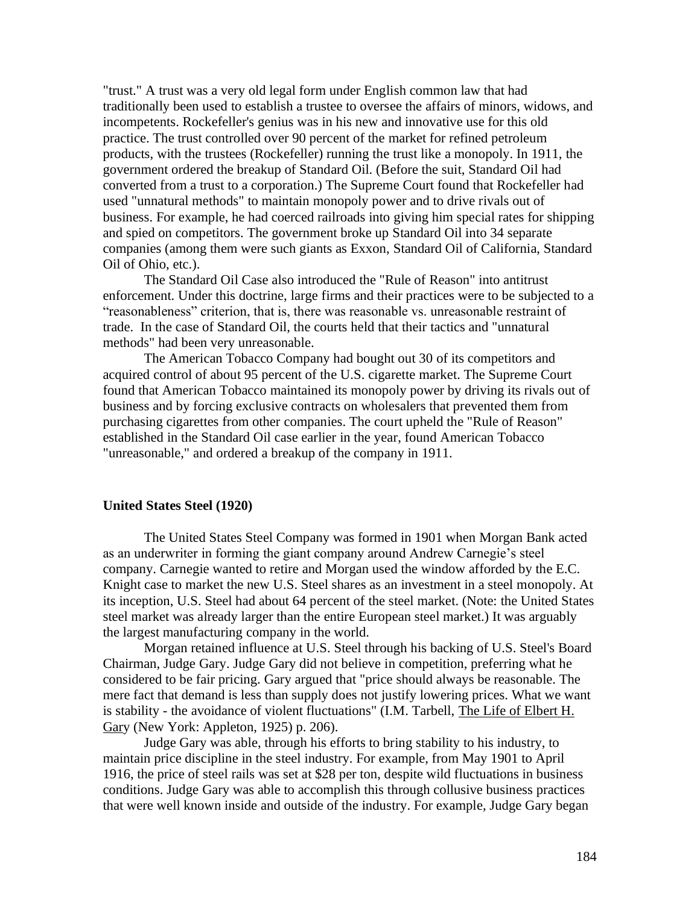"trust." A trust was a very old legal form under English common law that had traditionally been used to establish a trustee to oversee the affairs of minors, widows, and incompetents. Rockefeller's genius was in his new and innovative use for this old practice. The trust controlled over 90 percent of the market for refined petroleum products, with the trustees (Rockefeller) running the trust like a monopoly. In 1911, the government ordered the breakup of Standard Oil. (Before the suit, Standard Oil had converted from a trust to a corporation.) The Supreme Court found that Rockefeller had used "unnatural methods" to maintain monopoly power and to drive rivals out of business. For example, he had coerced railroads into giving him special rates for shipping and spied on competitors. The government broke up Standard Oil into 34 separate companies (among them were such giants as Exxon, Standard Oil of California, Standard Oil of Ohio, etc.).

The Standard Oil Case also introduced the "Rule of Reason" into antitrust enforcement. Under this doctrine, large firms and their practices were to be subjected to a "reasonableness" criterion, that is, there was reasonable vs. unreasonable restraint of trade. In the case of Standard Oil, the courts held that their tactics and "unnatural methods" had been very unreasonable.

The American Tobacco Company had bought out 30 of its competitors and acquired control of about 95 percent of the U.S. cigarette market. The Supreme Court found that American Tobacco maintained its monopoly power by driving its rivals out of business and by forcing exclusive contracts on wholesalers that prevented them from purchasing cigarettes from other companies. The court upheld the "Rule of Reason" established in the Standard Oil case earlier in the year, found American Tobacco "unreasonable," and ordered a breakup of the company in 1911.

#### **United States Steel (1920)**

The United States Steel Company was formed in 1901 when Morgan Bank acted as an underwriter in forming the giant company around Andrew Carnegie's steel company. Carnegie wanted to retire and Morgan used the window afforded by the E.C. Knight case to market the new U.S. Steel shares as an investment in a steel monopoly. At its inception, U.S. Steel had about 64 percent of the steel market. (Note: the United States steel market was already larger than the entire European steel market.) It was arguably the largest manufacturing company in the world.

Morgan retained influence at U.S. Steel through his backing of U.S. Steel's Board Chairman, Judge Gary. Judge Gary did not believe in competition, preferring what he considered to be fair pricing. Gary argued that "price should always be reasonable. The mere fact that demand is less than supply does not justify lowering prices. What we want is stability - the avoidance of violent fluctuations" (I.M. Tarbell, The Life of Elbert H. Gary (New York: Appleton, 1925) p. 206).

Judge Gary was able, through his efforts to bring stability to his industry, to maintain price discipline in the steel industry. For example, from May 1901 to April 1916, the price of steel rails was set at \$28 per ton, despite wild fluctuations in business conditions. Judge Gary was able to accomplish this through collusive business practices that were well known inside and outside of the industry. For example, Judge Gary began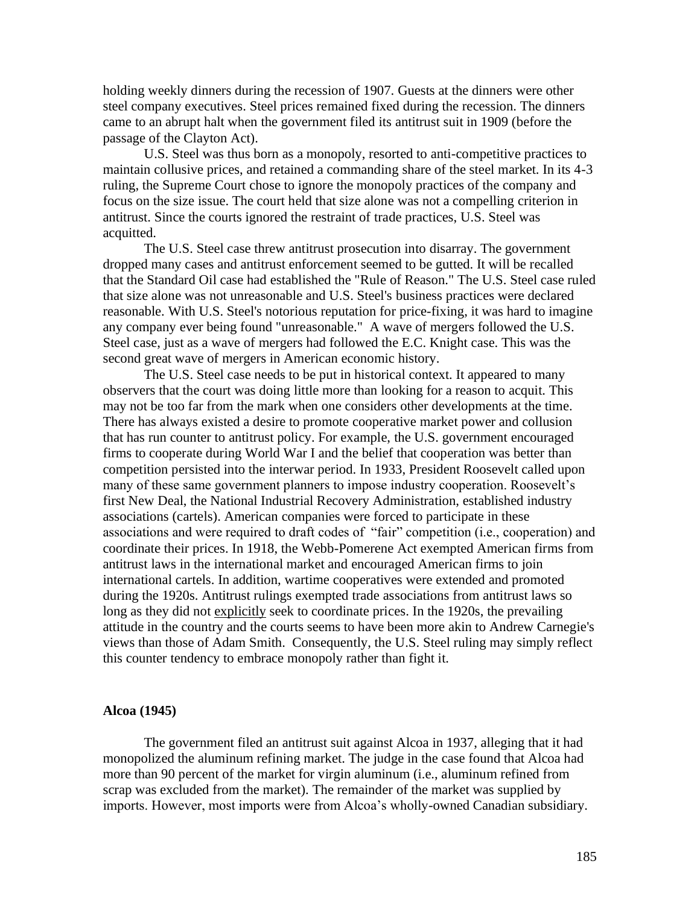holding weekly dinners during the recession of 1907. Guests at the dinners were other steel company executives. Steel prices remained fixed during the recession. The dinners came to an abrupt halt when the government filed its antitrust suit in 1909 (before the passage of the Clayton Act).

U.S. Steel was thus born as a monopoly, resorted to anti-competitive practices to maintain collusive prices, and retained a commanding share of the steel market. In its 4-3 ruling, the Supreme Court chose to ignore the monopoly practices of the company and focus on the size issue. The court held that size alone was not a compelling criterion in antitrust. Since the courts ignored the restraint of trade practices, U.S. Steel was acquitted.

The U.S. Steel case threw antitrust prosecution into disarray. The government dropped many cases and antitrust enforcement seemed to be gutted. It will be recalled that the Standard Oil case had established the "Rule of Reason." The U.S. Steel case ruled that size alone was not unreasonable and U.S. Steel's business practices were declared reasonable. With U.S. Steel's notorious reputation for price-fixing, it was hard to imagine any company ever being found "unreasonable." A wave of mergers followed the U.S. Steel case, just as a wave of mergers had followed the E.C. Knight case. This was the second great wave of mergers in American economic history.

The U.S. Steel case needs to be put in historical context. It appeared to many observers that the court was doing little more than looking for a reason to acquit. This may not be too far from the mark when one considers other developments at the time. There has always existed a desire to promote cooperative market power and collusion that has run counter to antitrust policy. For example, the U.S. government encouraged firms to cooperate during World War I and the belief that cooperation was better than competition persisted into the interwar period. In 1933, President Roosevelt called upon many of these same government planners to impose industry cooperation. Roosevelt's first New Deal, the National Industrial Recovery Administration, established industry associations (cartels). American companies were forced to participate in these associations and were required to draft codes of "fair" competition (i.e., cooperation) and coordinate their prices. In 1918, the Webb-Pomerene Act exempted American firms from antitrust laws in the international market and encouraged American firms to join international cartels. In addition, wartime cooperatives were extended and promoted during the 1920s. Antitrust rulings exempted trade associations from antitrust laws so long as they did not explicitly seek to coordinate prices. In the 1920s, the prevailing attitude in the country and the courts seems to have been more akin to Andrew Carnegie's views than those of Adam Smith. Consequently, the U.S. Steel ruling may simply reflect this counter tendency to embrace monopoly rather than fight it.

#### **Alcoa (1945)**

The government filed an antitrust suit against Alcoa in 1937, alleging that it had monopolized the aluminum refining market. The judge in the case found that Alcoa had more than 90 percent of the market for virgin aluminum (i.e., aluminum refined from scrap was excluded from the market). The remainder of the market was supplied by imports. However, most imports were from Alcoa's wholly-owned Canadian subsidiary.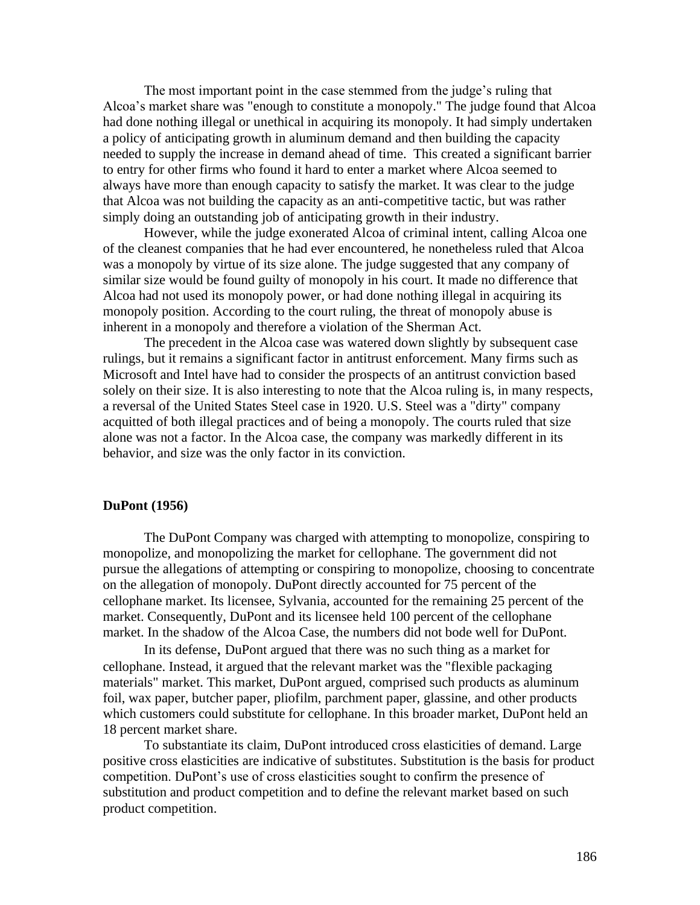The most important point in the case stemmed from the judge's ruling that Alcoa's market share was "enough to constitute a monopoly." The judge found that Alcoa had done nothing illegal or unethical in acquiring its monopoly. It had simply undertaken a policy of anticipating growth in aluminum demand and then building the capacity needed to supply the increase in demand ahead of time. This created a significant barrier to entry for other firms who found it hard to enter a market where Alcoa seemed to always have more than enough capacity to satisfy the market. It was clear to the judge that Alcoa was not building the capacity as an anti-competitive tactic, but was rather simply doing an outstanding job of anticipating growth in their industry.

However, while the judge exonerated Alcoa of criminal intent, calling Alcoa one of the cleanest companies that he had ever encountered, he nonetheless ruled that Alcoa was a monopoly by virtue of its size alone. The judge suggested that any company of similar size would be found guilty of monopoly in his court. It made no difference that Alcoa had not used its monopoly power, or had done nothing illegal in acquiring its monopoly position. According to the court ruling, the threat of monopoly abuse is inherent in a monopoly and therefore a violation of the Sherman Act.

The precedent in the Alcoa case was watered down slightly by subsequent case rulings, but it remains a significant factor in antitrust enforcement. Many firms such as Microsoft and Intel have had to consider the prospects of an antitrust conviction based solely on their size. It is also interesting to note that the Alcoa ruling is, in many respects, a reversal of the United States Steel case in 1920. U.S. Steel was a "dirty" company acquitted of both illegal practices and of being a monopoly. The courts ruled that size alone was not a factor. In the Alcoa case, the company was markedly different in its behavior, and size was the only factor in its conviction.

#### **DuPont (1956)**

The DuPont Company was charged with attempting to monopolize, conspiring to monopolize, and monopolizing the market for cellophane. The government did not pursue the allegations of attempting or conspiring to monopolize, choosing to concentrate on the allegation of monopoly. DuPont directly accounted for 75 percent of the cellophane market. Its licensee, Sylvania, accounted for the remaining 25 percent of the market. Consequently, DuPont and its licensee held 100 percent of the cellophane market. In the shadow of the Alcoa Case, the numbers did not bode well for DuPont.

In its defense, DuPont argued that there was no such thing as a market for cellophane. Instead, it argued that the relevant market was the "flexible packaging materials" market. This market, DuPont argued, comprised such products as aluminum foil, wax paper, butcher paper, pliofilm, parchment paper, glassine, and other products which customers could substitute for cellophane. In this broader market, DuPont held an 18 percent market share.

To substantiate its claim, DuPont introduced cross elasticities of demand. Large positive cross elasticities are indicative of substitutes. Substitution is the basis for product competition. DuPont's use of cross elasticities sought to confirm the presence of substitution and product competition and to define the relevant market based on such product competition.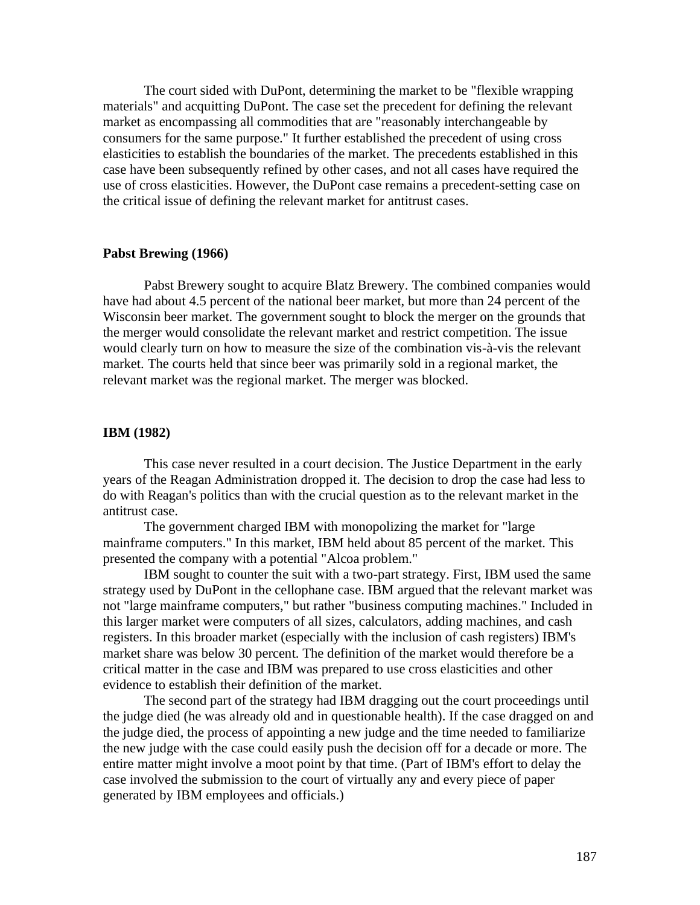The court sided with DuPont, determining the market to be "flexible wrapping materials" and acquitting DuPont. The case set the precedent for defining the relevant market as encompassing all commodities that are "reasonably interchangeable by consumers for the same purpose." It further established the precedent of using cross elasticities to establish the boundaries of the market. The precedents established in this case have been subsequently refined by other cases, and not all cases have required the use of cross elasticities. However, the DuPont case remains a precedent-setting case on the critical issue of defining the relevant market for antitrust cases.

#### **Pabst Brewing (1966)**

Pabst Brewery sought to acquire Blatz Brewery. The combined companies would have had about 4.5 percent of the national beer market, but more than 24 percent of the Wisconsin beer market. The government sought to block the merger on the grounds that the merger would consolidate the relevant market and restrict competition. The issue would clearly turn on how to measure the size of the combination vis-à-vis the relevant market. The courts held that since beer was primarily sold in a regional market, the relevant market was the regional market. The merger was blocked.

# **IBM (1982)**

This case never resulted in a court decision. The Justice Department in the early years of the Reagan Administration dropped it. The decision to drop the case had less to do with Reagan's politics than with the crucial question as to the relevant market in the antitrust case.

The government charged IBM with monopolizing the market for "large mainframe computers." In this market, IBM held about 85 percent of the market. This presented the company with a potential "Alcoa problem."

IBM sought to counter the suit with a two-part strategy. First, IBM used the same strategy used by DuPont in the cellophane case. IBM argued that the relevant market was not "large mainframe computers," but rather "business computing machines." Included in this larger market were computers of all sizes, calculators, adding machines, and cash registers. In this broader market (especially with the inclusion of cash registers) IBM's market share was below 30 percent. The definition of the market would therefore be a critical matter in the case and IBM was prepared to use cross elasticities and other evidence to establish their definition of the market.

The second part of the strategy had IBM dragging out the court proceedings until the judge died (he was already old and in questionable health). If the case dragged on and the judge died, the process of appointing a new judge and the time needed to familiarize the new judge with the case could easily push the decision off for a decade or more. The entire matter might involve a moot point by that time. (Part of IBM's effort to delay the case involved the submission to the court of virtually any and every piece of paper generated by IBM employees and officials.)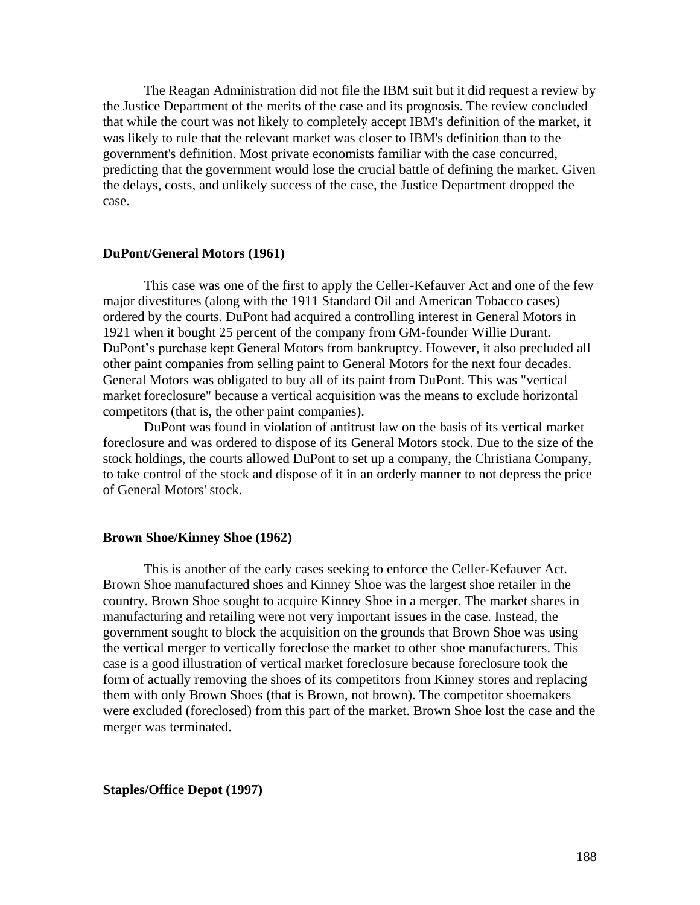The Reagan Administration did not file the IBM suit but it did request a review by the Justice Department of the merits of the case and its prognosis. The review concluded that while the court was not likely to completely accept IBM's definition of the market, it was likely to rule that the relevant market was closer to IBM's definition than to the government's definition. Most private economists familiar with the case concurred, predicting that the government would lose the crucial battle of defining the market. Given the delays, costs, and unlikely success of the case, the Justice Department dropped the case.

#### **DuPont/General Motors (1961)**

This case was one of the first to apply the Celler-Kefauver Act and one of the few major divestitures (along with the 1911 Standard Oil and American Tobacco cases) ordered by the courts. DuPont had acquired a controlling interest in General Motors in 1921 when it bought 25 percent of the company from GM-founder Willie Durant. DuPont's purchase kept General Motors from bankruptcy. However, it also precluded all other paint companies from selling paint to General Motors for the next four decades. General Motors was obligated to buy all of its paint from DuPont. This was "vertical market foreclosure" because a vertical acquisition was the means to exclude horizontal competitors (that is, the other paint companies).

DuPont was found in violation of antitrust law on the basis of its vertical market foreclosure and was ordered to dispose of its General Motors stock. Due to the size of the stock holdings, the courts allowed DuPont to set up a company, the Christiana Company, to take control of the stock and dispose of it in an orderly manner to not depress the price of General Motors' stock.

#### **Brown Shoe/Kinney Shoe (1962)**

This is another of the early cases seeking to enforce the Celler-Kefauver Act. Brown Shoe manufactured shoes and Kinney Shoe was the largest shoe retailer in the country. Brown Shoe sought to acquire Kinney Shoe in a merger. The market shares in manufacturing and retailing were not very important issues in the case. Instead, the government sought to block the acquisition on the grounds that Brown Shoe was using the vertical merger to vertically foreclose the market to other shoe manufacturers. This case is a good illustration of vertical market foreclosure because foreclosure took the form of actually removing the shoes of its competitors from Kinney stores and replacing them with only Brown Shoes (that is Brown, not brown). The competitor shoemakers were excluded (foreclosed) from this part of the market. Brown Shoe lost the case and the merger was terminated.

**Staples/Office Depot (1997)**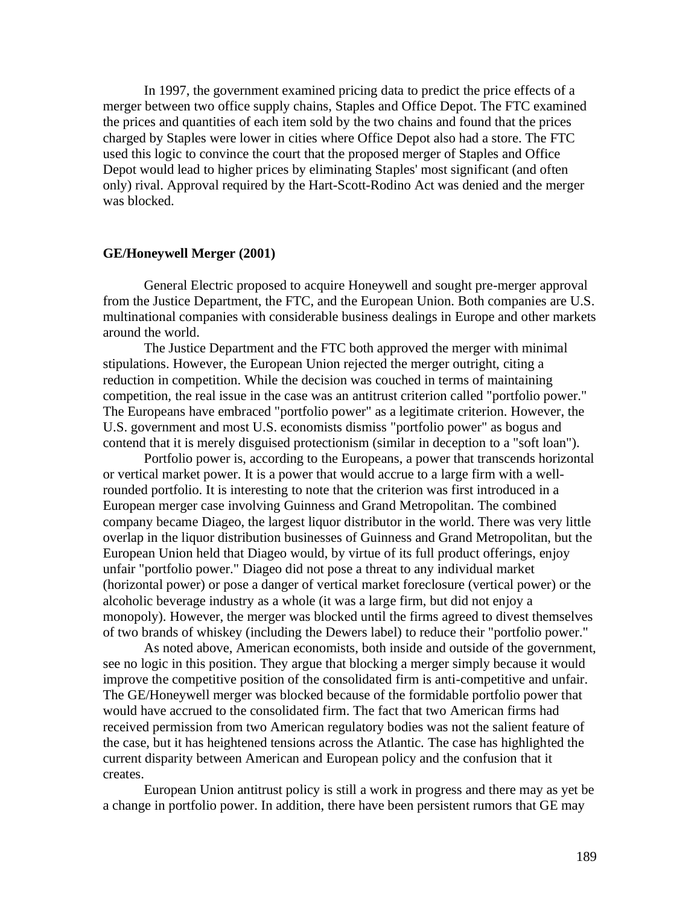In 1997, the government examined pricing data to predict the price effects of a merger between two office supply chains, Staples and Office Depot. The FTC examined the prices and quantities of each item sold by the two chains and found that the prices charged by Staples were lower in cities where Office Depot also had a store. The FTC used this logic to convince the court that the proposed merger of Staples and Office Depot would lead to higher prices by eliminating Staples' most significant (and often only) rival. Approval required by the Hart-Scott-Rodino Act was denied and the merger was blocked.

#### **GE/Honeywell Merger (2001)**

General Electric proposed to acquire Honeywell and sought pre-merger approval from the Justice Department, the FTC, and the European Union. Both companies are U.S. multinational companies with considerable business dealings in Europe and other markets around the world.

The Justice Department and the FTC both approved the merger with minimal stipulations. However, the European Union rejected the merger outright, citing a reduction in competition. While the decision was couched in terms of maintaining competition, the real issue in the case was an antitrust criterion called "portfolio power." The Europeans have embraced "portfolio power" as a legitimate criterion. However, the U.S. government and most U.S. economists dismiss "portfolio power" as bogus and contend that it is merely disguised protectionism (similar in deception to a "soft loan").

Portfolio power is, according to the Europeans, a power that transcends horizontal or vertical market power. It is a power that would accrue to a large firm with a wellrounded portfolio. It is interesting to note that the criterion was first introduced in a European merger case involving Guinness and Grand Metropolitan. The combined company became Diageo, the largest liquor distributor in the world. There was very little overlap in the liquor distribution businesses of Guinness and Grand Metropolitan, but the European Union held that Diageo would, by virtue of its full product offerings, enjoy unfair "portfolio power." Diageo did not pose a threat to any individual market (horizontal power) or pose a danger of vertical market foreclosure (vertical power) or the alcoholic beverage industry as a whole (it was a large firm, but did not enjoy a monopoly). However, the merger was blocked until the firms agreed to divest themselves of two brands of whiskey (including the Dewers label) to reduce their "portfolio power."

As noted above, American economists, both inside and outside of the government, see no logic in this position. They argue that blocking a merger simply because it would improve the competitive position of the consolidated firm is anti-competitive and unfair. The GE/Honeywell merger was blocked because of the formidable portfolio power that would have accrued to the consolidated firm. The fact that two American firms had received permission from two American regulatory bodies was not the salient feature of the case, but it has heightened tensions across the Atlantic. The case has highlighted the current disparity between American and European policy and the confusion that it creates.

European Union antitrust policy is still a work in progress and there may as yet be a change in portfolio power. In addition, there have been persistent rumors that GE may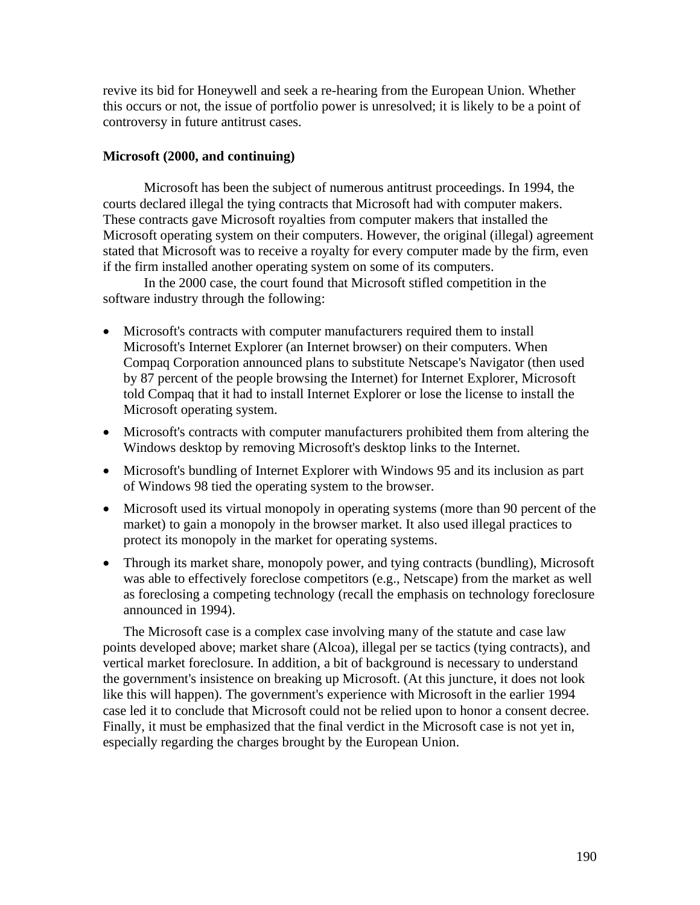revive its bid for Honeywell and seek a re-hearing from the European Union. Whether this occurs or not, the issue of portfolio power is unresolved; it is likely to be a point of controversy in future antitrust cases.

# **Microsoft (2000, and continuing)**

Microsoft has been the subject of numerous antitrust proceedings. In 1994, the courts declared illegal the tying contracts that Microsoft had with computer makers. These contracts gave Microsoft royalties from computer makers that installed the Microsoft operating system on their computers. However, the original (illegal) agreement stated that Microsoft was to receive a royalty for every computer made by the firm, even if the firm installed another operating system on some of its computers.

In the 2000 case, the court found that Microsoft stifled competition in the software industry through the following:

- Microsoft's contracts with computer manufacturers required them to install Microsoft's Internet Explorer (an Internet browser) on their computers. When Compaq Corporation announced plans to substitute Netscape's Navigator (then used by 87 percent of the people browsing the Internet) for Internet Explorer, Microsoft told Compaq that it had to install Internet Explorer or lose the license to install the Microsoft operating system.
- Microsoft's contracts with computer manufacturers prohibited them from altering the Windows desktop by removing Microsoft's desktop links to the Internet.
- Microsoft's bundling of Internet Explorer with Windows 95 and its inclusion as part of Windows 98 tied the operating system to the browser.
- Microsoft used its virtual monopoly in operating systems (more than 90 percent of the market) to gain a monopoly in the browser market. It also used illegal practices to protect its monopoly in the market for operating systems.
- Through its market share, monopoly power, and tying contracts (bundling), Microsoft was able to effectively foreclose competitors (e.g., Netscape) from the market as well as foreclosing a competing technology (recall the emphasis on technology foreclosure announced in 1994).

The Microsoft case is a complex case involving many of the statute and case law points developed above; market share (Alcoa), illegal per se tactics (tying contracts), and vertical market foreclosure. In addition, a bit of background is necessary to understand the government's insistence on breaking up Microsoft. (At this juncture, it does not look like this will happen). The government's experience with Microsoft in the earlier 1994 case led it to conclude that Microsoft could not be relied upon to honor a consent decree. Finally, it must be emphasized that the final verdict in the Microsoft case is not yet in, especially regarding the charges brought by the European Union.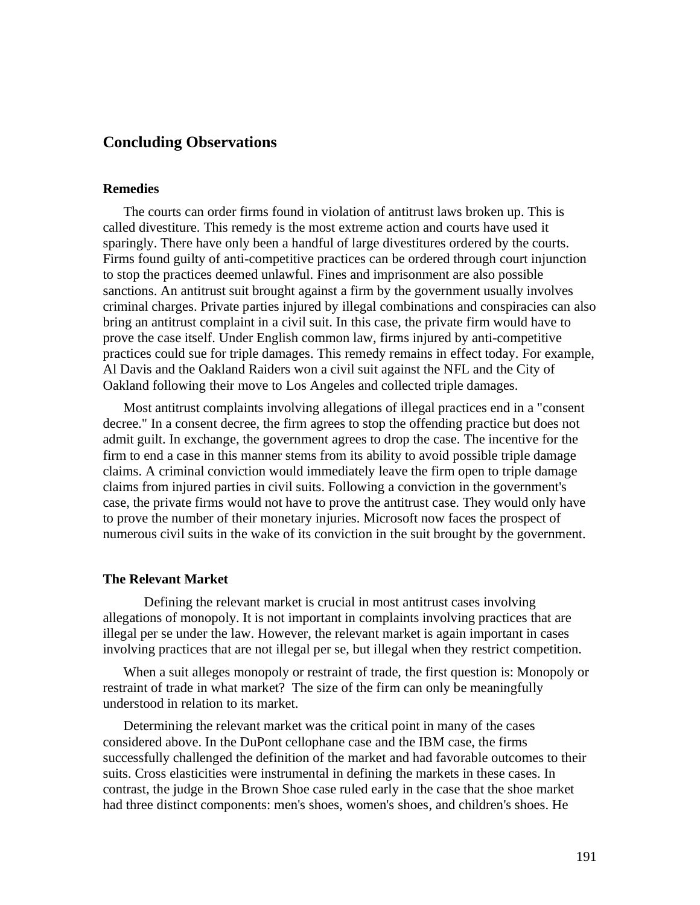# **Concluding Observations**

#### **Remedies**

The courts can order firms found in violation of antitrust laws broken up. This is called divestiture. This remedy is the most extreme action and courts have used it sparingly. There have only been a handful of large divestitures ordered by the courts. Firms found guilty of anti-competitive practices can be ordered through court injunction to stop the practices deemed unlawful. Fines and imprisonment are also possible sanctions. An antitrust suit brought against a firm by the government usually involves criminal charges. Private parties injured by illegal combinations and conspiracies can also bring an antitrust complaint in a civil suit. In this case, the private firm would have to prove the case itself. Under English common law, firms injured by anti-competitive practices could sue for triple damages. This remedy remains in effect today. For example, Al Davis and the Oakland Raiders won a civil suit against the NFL and the City of Oakland following their move to Los Angeles and collected triple damages.

Most antitrust complaints involving allegations of illegal practices end in a "consent decree." In a consent decree, the firm agrees to stop the offending practice but does not admit guilt. In exchange, the government agrees to drop the case. The incentive for the firm to end a case in this manner stems from its ability to avoid possible triple damage claims. A criminal conviction would immediately leave the firm open to triple damage claims from injured parties in civil suits. Following a conviction in the government's case, the private firms would not have to prove the antitrust case. They would only have to prove the number of their monetary injuries. Microsoft now faces the prospect of numerous civil suits in the wake of its conviction in the suit brought by the government.

#### **The Relevant Market**

Defining the relevant market is crucial in most antitrust cases involving allegations of monopoly. It is not important in complaints involving practices that are illegal per se under the law. However, the relevant market is again important in cases involving practices that are not illegal per se, but illegal when they restrict competition.

When a suit alleges monopoly or restraint of trade, the first question is: Monopoly or restraint of trade in what market? The size of the firm can only be meaningfully understood in relation to its market.

Determining the relevant market was the critical point in many of the cases considered above. In the DuPont cellophane case and the IBM case, the firms successfully challenged the definition of the market and had favorable outcomes to their suits. Cross elasticities were instrumental in defining the markets in these cases. In contrast, the judge in the Brown Shoe case ruled early in the case that the shoe market had three distinct components: men's shoes, women's shoes, and children's shoes. He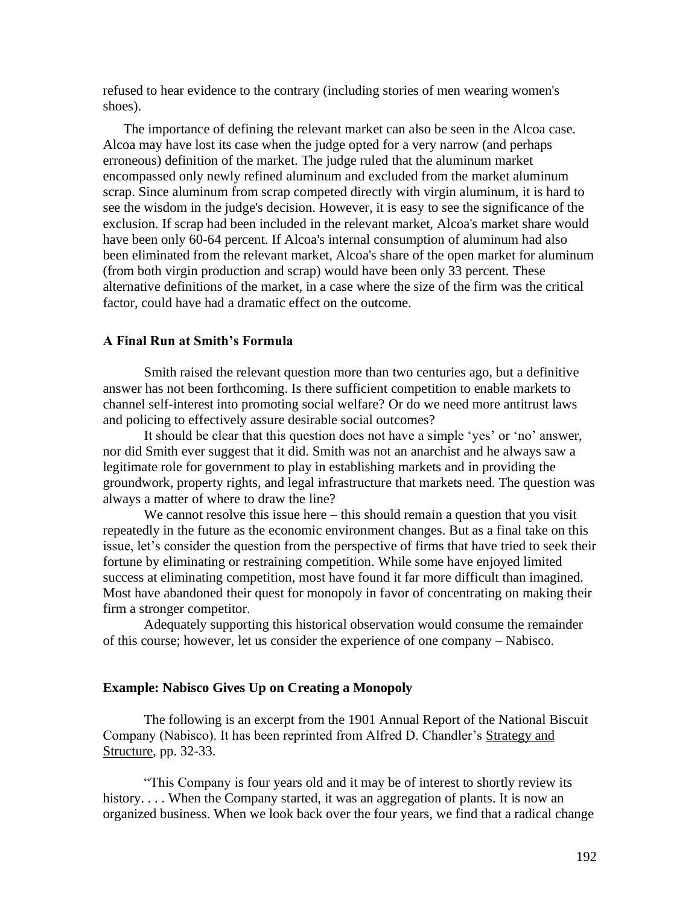refused to hear evidence to the contrary (including stories of men wearing women's shoes).

The importance of defining the relevant market can also be seen in the Alcoa case. Alcoa may have lost its case when the judge opted for a very narrow (and perhaps erroneous) definition of the market. The judge ruled that the aluminum market encompassed only newly refined aluminum and excluded from the market aluminum scrap. Since aluminum from scrap competed directly with virgin aluminum, it is hard to see the wisdom in the judge's decision. However, it is easy to see the significance of the exclusion. If scrap had been included in the relevant market, Alcoa's market share would have been only 60-64 percent. If Alcoa's internal consumption of aluminum had also been eliminated from the relevant market, Alcoa's share of the open market for aluminum (from both virgin production and scrap) would have been only 33 percent. These alternative definitions of the market, in a case where the size of the firm was the critical factor, could have had a dramatic effect on the outcome.

#### **A Final Run at Smith's Formula**

Smith raised the relevant question more than two centuries ago, but a definitive answer has not been forthcoming. Is there sufficient competition to enable markets to channel self-interest into promoting social welfare? Or do we need more antitrust laws and policing to effectively assure desirable social outcomes?

It should be clear that this question does not have a simple 'yes' or 'no' answer, nor did Smith ever suggest that it did. Smith was not an anarchist and he always saw a legitimate role for government to play in establishing markets and in providing the groundwork, property rights, and legal infrastructure that markets need. The question was always a matter of where to draw the line?

We cannot resolve this issue here – this should remain a question that you visit repeatedly in the future as the economic environment changes. But as a final take on this issue, let's consider the question from the perspective of firms that have tried to seek their fortune by eliminating or restraining competition. While some have enjoyed limited success at eliminating competition, most have found it far more difficult than imagined. Most have abandoned their quest for monopoly in favor of concentrating on making their firm a stronger competitor.

Adequately supporting this historical observation would consume the remainder of this course; however, let us consider the experience of one company – Nabisco.

#### **Example: Nabisco Gives Up on Creating a Monopoly**

The following is an excerpt from the 1901 Annual Report of the National Biscuit Company (Nabisco). It has been reprinted from Alfred D. Chandler's Strategy and Structure, pp. 32-33.

"This Company is four years old and it may be of interest to shortly review its history. . . . When the Company started, it was an aggregation of plants. It is now an organized business. When we look back over the four years, we find that a radical change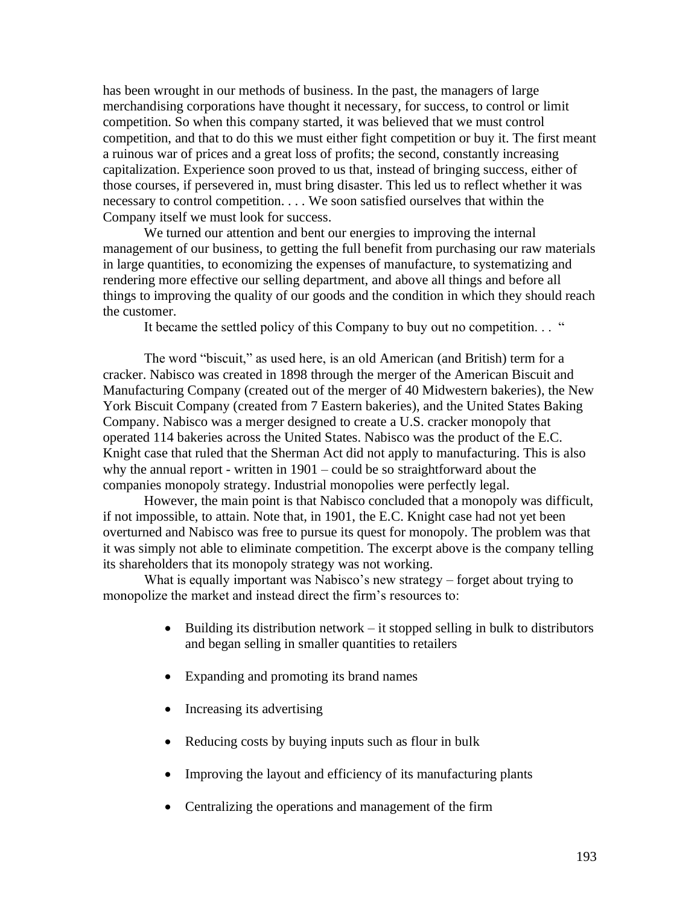has been wrought in our methods of business. In the past, the managers of large merchandising corporations have thought it necessary, for success, to control or limit competition. So when this company started, it was believed that we must control competition, and that to do this we must either fight competition or buy it. The first meant a ruinous war of prices and a great loss of profits; the second, constantly increasing capitalization. Experience soon proved to us that, instead of bringing success, either of those courses, if persevered in, must bring disaster. This led us to reflect whether it was necessary to control competition. . . . We soon satisfied ourselves that within the Company itself we must look for success.

We turned our attention and bent our energies to improving the internal management of our business, to getting the full benefit from purchasing our raw materials in large quantities, to economizing the expenses of manufacture, to systematizing and rendering more effective our selling department, and above all things and before all things to improving the quality of our goods and the condition in which they should reach the customer.

It became the settled policy of this Company to buy out no competition. . . "

The word "biscuit," as used here, is an old American (and British) term for a cracker. Nabisco was created in 1898 through the merger of the American Biscuit and Manufacturing Company (created out of the merger of 40 Midwestern bakeries), the New York Biscuit Company (created from 7 Eastern bakeries), and the United States Baking Company. Nabisco was a merger designed to create a U.S. cracker monopoly that operated 114 bakeries across the United States. Nabisco was the product of the E.C. Knight case that ruled that the Sherman Act did not apply to manufacturing. This is also why the annual report - written in 1901 – could be so straightforward about the companies monopoly strategy. Industrial monopolies were perfectly legal.

However, the main point is that Nabisco concluded that a monopoly was difficult, if not impossible, to attain. Note that, in 1901, the E.C. Knight case had not yet been overturned and Nabisco was free to pursue its quest for monopoly. The problem was that it was simply not able to eliminate competition. The excerpt above is the company telling its shareholders that its monopoly strategy was not working.

What is equally important was Nabisco's new strategy – forget about trying to monopolize the market and instead direct the firm's resources to:

- Building its distribution network it stopped selling in bulk to distributors and began selling in smaller quantities to retailers
- Expanding and promoting its brand names
- Increasing its advertising
- Reducing costs by buying inputs such as flour in bulk
- Improving the layout and efficiency of its manufacturing plants
- Centralizing the operations and management of the firm